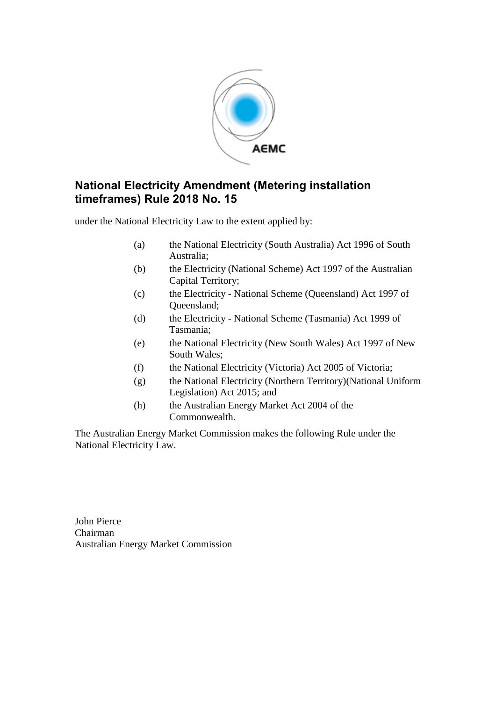

## **National Electricity Amendment (Metering installation timeframes) Rule 2018 No. 15**

under the National Electricity Law to the extent applied by:

- (a) the National Electricity (South Australia) Act 1996 of South Australia;
- (b) the Electricity (National Scheme) Act 1997 of the Australian Capital Territory;
- (c) the Electricity National Scheme (Queensland) Act 1997 of Queensland;
- (d) the Electricity National Scheme (Tasmania) Act 1999 of Tasmania;
- (e) the National Electricity (New South Wales) Act 1997 of New South Wales;
- (f) the National Electricity (Victoria) Act 2005 of Victoria;
- (g) the National Electricity (Northern Territory)(National Uniform Legislation) Act 2015; and
- (h) the Australian Energy Market Act 2004 of the Commonwealth.

The Australian Energy Market Commission makes the following Rule under the National Electricity Law.

John Pierce Chairman Australian Energy Market Commission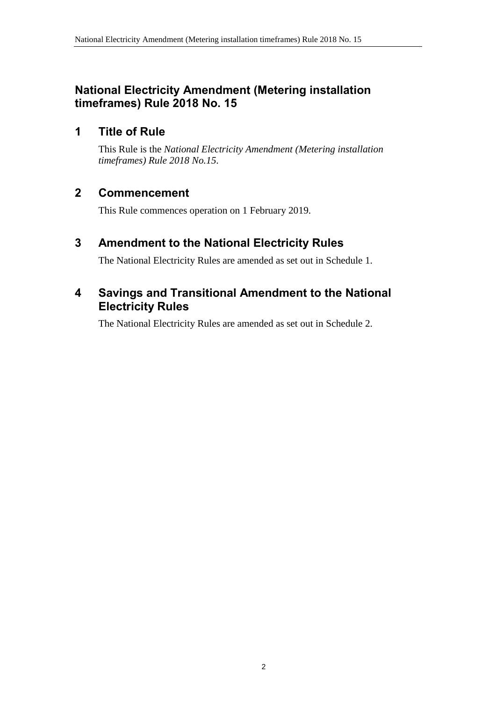## **National Electricity Amendment (Metering installation timeframes) Rule 2018 No. 15**

## **1 Title of Rule**

This Rule is the *National Electricity Amendment (Metering installation timeframes) Rule 2018 No.15*.

## **2 Commencement**

This Rule commences operation on 1 February 2019.

# <span id="page-1-0"></span>**3 Amendment to the National Electricity Rules**

The National Electricity Rules are amended as set out in [Schedule 1.](#page-2-0)

## <span id="page-1-1"></span>**4 Savings and Transitional Amendment to the National Electricity Rules**

The National Electricity Rules are amended as set out in [Schedule 2.](#page-8-0)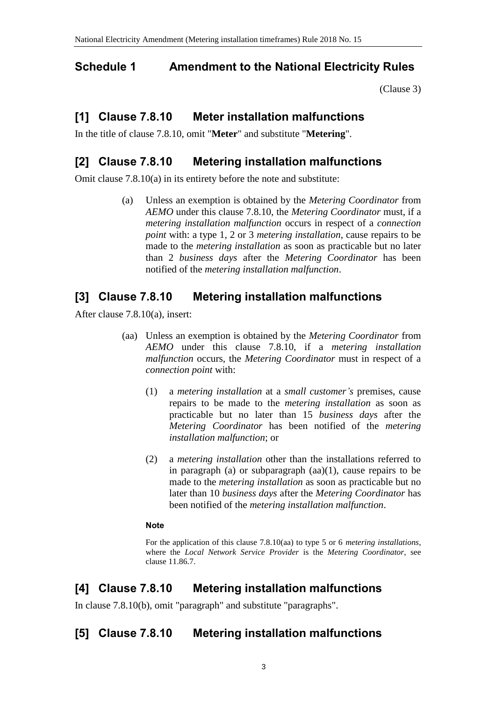#### <span id="page-2-0"></span>**Schedule 1 Amendment to the National Electricity Rules**

[\(Clause 3\)](#page-1-0)

## **[1] Clause 7.8.10 Meter installation malfunctions**

In the title of clause 7.8.10, omit "**Meter**" and substitute "**Metering**".

#### **[2] Clause 7.8.10 Metering installation malfunctions**

Omit clause 7.8.10(a) in its entirety before the note and substitute:

(a) Unless an exemption is obtained by the *Metering Coordinator* from *AEMO* under this clause 7.8.10, the *Metering Coordinator* must, if a *metering installation malfunction* occurs in respect of a *connection point* with: a type 1, 2 or 3 *metering installation*, cause repairs to be made to the *metering installation* as soon as practicable but no later than 2 *business days* after the *Metering Coordinator* has been notified of the *metering installation malfunction*.

#### **[3] Clause 7.8.10 Metering installation malfunctions**

After clause 7.8.10(a), insert:

- (aa) Unless an exemption is obtained by the *Metering Coordinator* from *AEMO* under this clause 7.8.10, if a *metering installation malfunction* occurs, the *Metering Coordinator* must in respect of a *connection point* with:
	- (1) a *metering installation* at a *small customer's* premises, cause repairs to be made to the *metering installation* as soon as practicable but no later than 15 *business days* after the *Metering Coordinator* has been notified of the *metering installation malfunction*; or
	- (2) a *metering installation* other than the installations referred to in paragraph (a) or subparagraph  $(aa)(1)$ , cause repairs to be made to the *metering installation* as soon as practicable but no later than 10 *business days* after the *Metering Coordinator* has been notified of the *metering installation malfunction*.

#### **Note**

For the application of this clause 7.8.10(aa) to type 5 or 6 *metering installations*, where the *Local Network Service Provider* is the *Metering Coordinator*, see clause 11.86.7.

#### **[4] Clause 7.8.10 Metering installation malfunctions**

In clause 7.8.10(b), omit "paragraph" and substitute "paragraphs".

#### **[5] Clause 7.8.10 Metering installation malfunctions**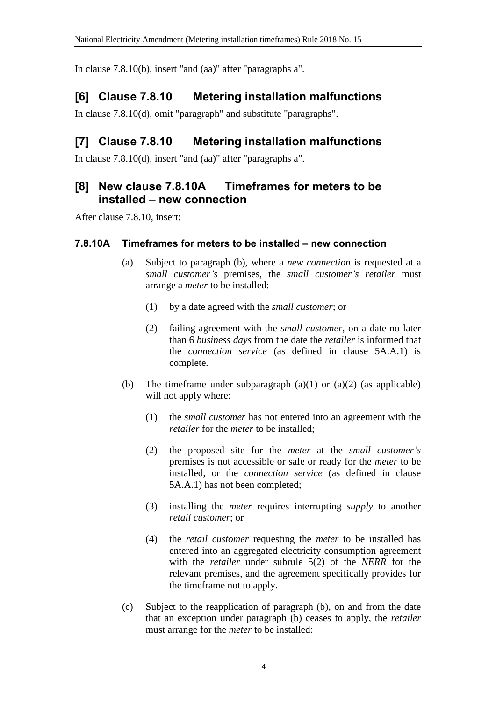In clause 7.8.10(b), insert "and (aa)" after "paragraphs a".

# **[6] Clause 7.8.10 Metering installation malfunctions**

In clause 7.8.10(d), omit "paragraph" and substitute "paragraphs".

# **[7] Clause 7.8.10 Metering installation malfunctions**

In clause 7.8.10(d), insert "and (aa)" after "paragraphs a".

## **[8] New clause 7.8.10A Timeframes for meters to be installed – new connection**

After clause 7.8.10, insert:

#### **7.8.10A Timeframes for meters to be installed – new connection**

- (a) Subject to paragraph (b), where a *new connection* is requested at a *small customer's* premises, the *small customer's retailer* must arrange a *meter* to be installed:
	- (1) by a date agreed with the *small customer*; or
	- (2) failing agreement with the *small customer*, on a date no later than 6 *business days* from the date the *retailer* is informed that the *connection service* (as defined in clause 5A.A.1) is complete.
- (b) The timeframe under subparagraph  $(a)(1)$  or  $(a)(2)$  (as applicable) will not apply where:
	- (1) the *small customer* has not entered into an agreement with the *retailer* for the *meter* to be installed;
	- (2) the proposed site for the *meter* at the *small customer's* premises is not accessible or safe or ready for the *meter* to be installed, or the *connection service* (as defined in clause 5A.A.1) has not been completed;
	- (3) installing the *meter* requires interrupting *supply* to another *retail customer*; or
	- (4) the *retail customer* requesting the *meter* to be installed has entered into an aggregated electricity consumption agreement with the *retailer* under subrule 5(2) of the *NERR* for the relevant premises, and the agreement specifically provides for the timeframe not to apply.
- (c) Subject to the reapplication of paragraph (b), on and from the date that an exception under paragraph (b) ceases to apply, the *retailer* must arrange for the *meter* to be installed: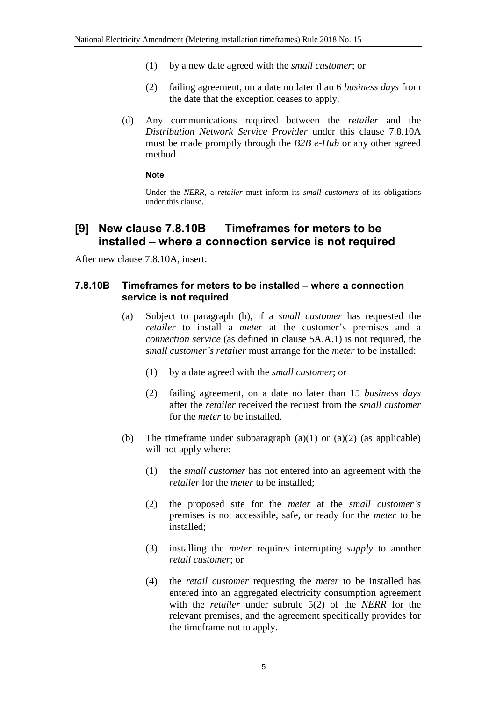- (1) by a new date agreed with the *small customer*; or
- (2) failing agreement, on a date no later than 6 *business days* from the date that the exception ceases to apply.
- (d) Any communications required between the *retailer* and the *Distribution Network Service Provider* under this clause 7.8.10A must be made promptly through the *B2B e-Hub* or any other agreed method.

#### **Note**

Under the *NERR*, a *retailer* must inform its *small customers* of its obligations under this clause.

#### **[9] New clause 7.8.10B Timeframes for meters to be installed – where a connection service is not required**

After new clause 7.8.10A, insert:

#### **7.8.10B Timeframes for meters to be installed – where a connection service is not required**

- (a) Subject to paragraph (b), if a *small customer* has requested the *retailer* to install a *meter* at the customer's premises and a *connection service* (as defined in clause 5A.A.1) is not required, the *small customer's retailer* must arrange for the *meter* to be installed:
	- (1) by a date agreed with the *small customer*; or
	- (2) failing agreement, on a date no later than 15 *business days* after the *retailer* received the request from the *small customer* for the *meter* to be installed.
- (b) The timeframe under subparagraph  $(a)(1)$  or  $(a)(2)$  (as applicable) will not apply where:
	- (1) the *small customer* has not entered into an agreement with the *retailer* for the *meter* to be installed;
	- (2) the proposed site for the *meter* at the *small customer's* premises is not accessible, safe, or ready for the *meter* to be installed;
	- (3) installing the *meter* requires interrupting *supply* to another *retail customer*; or
	- (4) the *retail customer* requesting the *meter* to be installed has entered into an aggregated electricity consumption agreement with the *retailer* under subrule 5(2) of the *NERR* for the relevant premises, and the agreement specifically provides for the timeframe not to apply.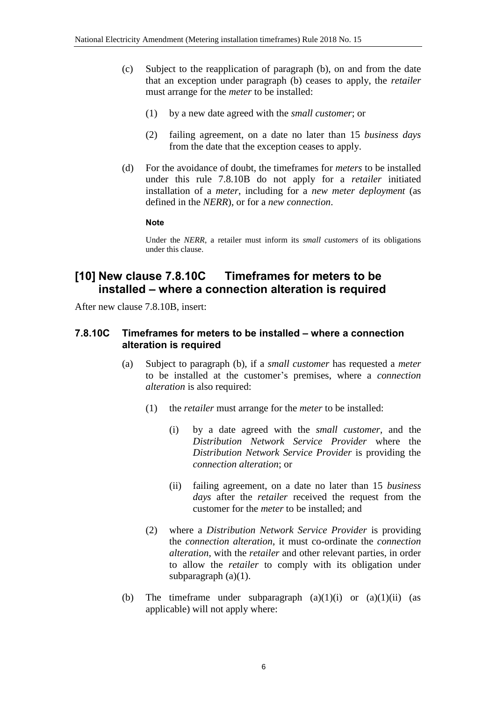- (c) Subject to the reapplication of paragraph (b), on and from the date that an exception under paragraph (b) ceases to apply, the *retailer* must arrange for the *meter* to be installed:
	- (1) by a new date agreed with the *small customer*; or
	- (2) failing agreement, on a date no later than 15 *business days* from the date that the exception ceases to apply.
- (d) For the avoidance of doubt, the timeframes for *meters* to be installed under this rule 7.8.10B do not apply for a *retailer* initiated installation of a *meter*, including for a *new meter deployment* (as defined in the *NERR*), or for a *new connection*.

#### **Note**

Under the *NERR*, a retailer must inform its *small customers* of its obligations under this clause.

#### **[10] New clause 7.8.10C Timeframes for meters to be installed – where a connection alteration is required**

After new clause 7.8.10B, insert:

#### **7.8.10C Timeframes for meters to be installed – where a connection alteration is required**

- (a) Subject to paragraph (b), if a *small customer* has requested a *meter* to be installed at the customer's premises, where a *connection alteration* is also required:
	- (1) the *retailer* must arrange for the *meter* to be installed:
		- (i) by a date agreed with the *small customer*, and the *Distribution Network Service Provider* where the *Distribution Network Service Provider* is providing the *connection alteration*; or
		- (ii) failing agreement, on a date no later than 15 *business days* after the *retailer* received the request from the customer for the *meter* to be installed; and
	- (2) where a *Distribution Network Service Provider* is providing the *connection alteration*, it must co-ordinate the *connection alteration*, with the *retailer* and other relevant parties, in order to allow the *retailer* to comply with its obligation under subparagraph (a)(1).
- (b) The timeframe under subparagraph  $(a)(1)(i)$  or  $(a)(1)(ii)$  (as applicable) will not apply where: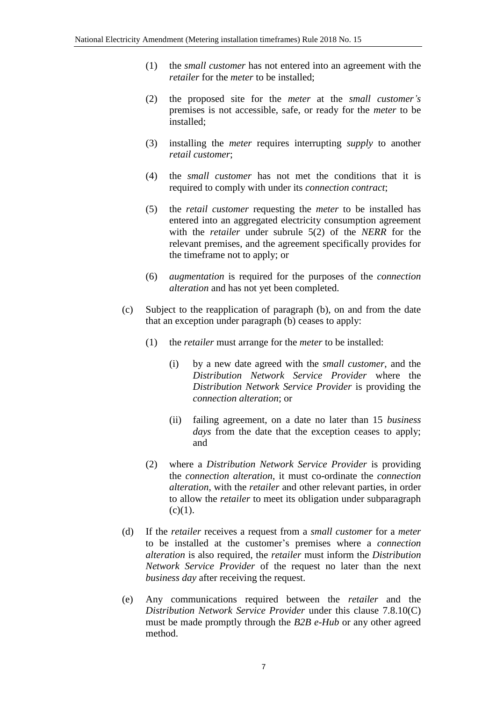- (1) the *small customer* has not entered into an agreement with the *retailer* for the *meter* to be installed;
- (2) the proposed site for the *meter* at the *small customer's* premises is not accessible, safe, or ready for the *meter* to be installed;
- (3) installing the *meter* requires interrupting *supply* to another *retail customer*;
- (4) the *small customer* has not met the conditions that it is required to comply with under its *connection contract*;
- (5) the *retail customer* requesting the *meter* to be installed has entered into an aggregated electricity consumption agreement with the *retailer* under subrule 5(2) of the *NERR* for the relevant premises, and the agreement specifically provides for the timeframe not to apply; or
- (6) *augmentation* is required for the purposes of the *connection alteration* and has not yet been completed.
- (c) Subject to the reapplication of paragraph (b), on and from the date that an exception under paragraph (b) ceases to apply:
	- (1) the *retailer* must arrange for the *meter* to be installed:
		- (i) by a new date agreed with the *small customer*, and the *Distribution Network Service Provider* where the *Distribution Network Service Provider* is providing the *connection alteration*; or
		- (ii) failing agreement, on a date no later than 15 *business days* from the date that the exception ceases to apply; and
	- (2) where a *Distribution Network Service Provider* is providing the *connection alteration*, it must co-ordinate the *connection alteration*, with the *retailer* and other relevant parties, in order to allow the *retailer* to meet its obligation under subparagraph  $(c)(1)$ .
- (d) If the *retailer* receives a request from a *small customer* for a *meter* to be installed at the customer's premises where a *connection alteration* is also required, the *retailer* must inform the *Distribution Network Service Provider* of the request no later than the next *business day* after receiving the request.
- (e) Any communications required between the *retailer* and the *Distribution Network Service Provider* under this clause 7.8.10(C) must be made promptly through the *B2B e-Hub* or any other agreed method.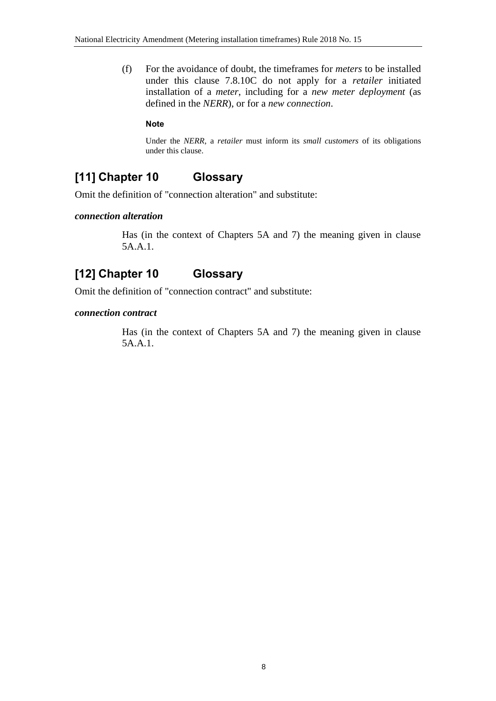(f) For the avoidance of doubt, the timeframes for *meters* to be installed under this clause 7.8.10C do not apply for a *retailer* initiated installation of a *meter*, including for a *new meter deployment* (as defined in the *NERR*), or for a *new connection*.

#### **Note**

Under the *NERR*, a *retailer* must inform its *small customers* of its obligations under this clause.

# **[11] Chapter 10 Glossary**

Omit the definition of "connection alteration" and substitute:

#### *connection alteration*

Has (in the context of Chapters 5A and 7) the meaning given in clause 5A.A.1.

# **[12] Chapter 10 Glossary**

Omit the definition of "connection contract" and substitute:

#### *connection contract*

Has (in the context of Chapters 5A and 7) the meaning given in clause 5A.A.1.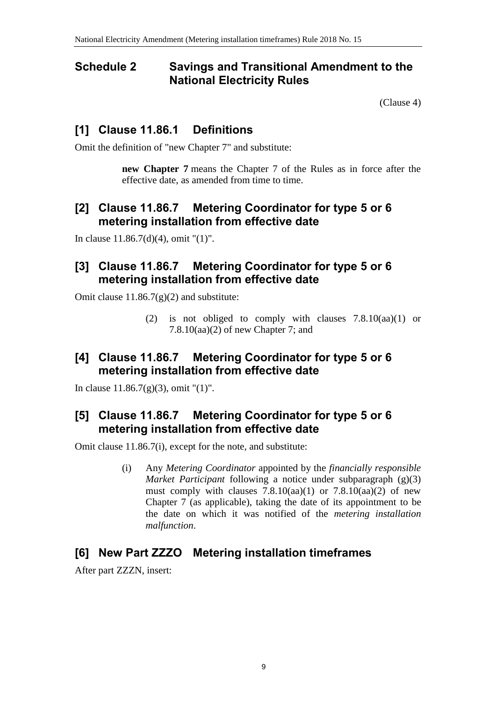## <span id="page-8-0"></span>**Schedule 2 Savings and Transitional Amendment to the National Electricity Rules**

[\(Clause 4\)](#page-1-1)

## **[1] Clause 11.86.1 Definitions**

Omit the definition of "new Chapter 7" and substitute:

**new Chapter 7** means the Chapter 7 of the Rules as in force after the effective date, as amended from time to time.

## **[2] Clause 11.86.7 Metering Coordinator for type 5 or 6 metering installation from effective date**

In clause 11.86.7(d)(4), omit "(1)".

## **[3] Clause 11.86.7 Metering Coordinator for type 5 or 6 metering installation from effective date**

Omit clause  $11.86.7(g)(2)$  and substitute:

(2) is not obliged to comply with clauses 7.8.10(aa)(1) or  $7.8.10(aa)(2)$  of new Chapter 7; and

## **[4] Clause 11.86.7 Metering Coordinator for type 5 or 6 metering installation from effective date**

In clause  $11.86.7(g)(3)$ , omit "(1)".

# **[5] Clause 11.86.7 Metering Coordinator for type 5 or 6 metering installation from effective date**

Omit clause 11.86.7(i), except for the note, and substitute:

(i) Any *Metering Coordinator* appointed by the *financially responsible Market Participant* following a notice under subparagraph (g)(3) must comply with clauses  $7.8.10(aa)(1)$  or  $7.8.10(aa)(2)$  of new Chapter 7 (as applicable), taking the date of its appointment to be the date on which it was notified of the *metering installation malfunction*.

# **[6] New Part ZZZO Metering installation timeframes**

After part ZZZN, insert: